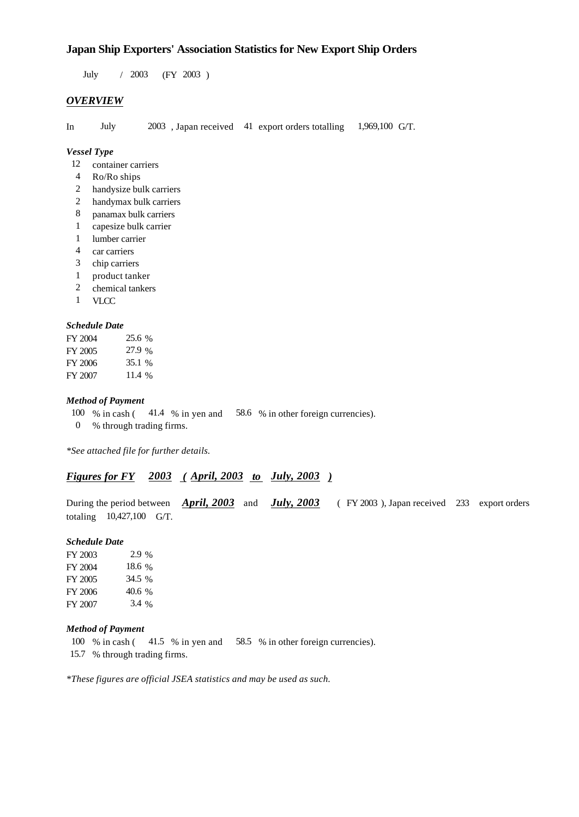## **Japan Ship Exporters' Association Statistics for New Export Ship Orders**

 $/ 2003$  (FY 2003) July 2003

## *OVERVIEW*

In July  $2003$ , Japan received 41 export orders totalling 1,969,100 G/T. 1,969,100 G/T.

#### *Vessel Type*

- 12 container carriers
- Ro/Ro ships 4
- handysize bulk carriers 2
- handymax bulk carriers 2
- panamax bulk carriers 8
- capesize bulk carrier 1
- lumber carrier 1
- car carriers 4
- 3 chip carriers
- product tanker 1
- chemical tankers 2
- VLCC 1

## *Schedule Date*

| FY 2004 | 25.6 % |
|---------|--------|
| FY 2005 | 27.9 % |
| FY 2006 | 35.1 % |
| FY 2007 | 11.4%  |

## *Method of Payment*

- 100 % in cash (41.4 % in yen and 58.6 % in other foreign currencies).
- % through trading firms. 0

*\*See attached file for further details.*

## *Figures for FY* 2003 (April, 2003 *to* July, 2003)

During the period between *April, 2003* and *July, 2003* (FY 2003), Japan received 233 export orders totaling  $10,427,100$  G/T. (FY 2003), Japan received 233 export orders

#### *Schedule Date*

FY 2003 FY 2004 FY 2005 FY 2006 FY 2007 18.6 % 34.5 40.6 % 3.4 % 2.9 %

#### *Method of Payment*

- 100 % in cash (41.5 % in yen and 58.5 % in other foreign currencies).
- % through trading firms. 15.7

*\*These figures are official JSEA statistics and may be used as such.*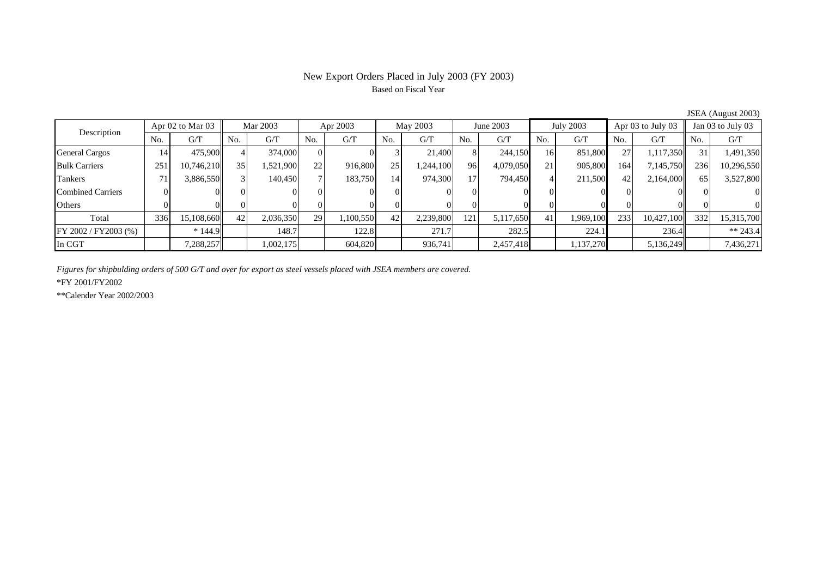# New Export Orders Placed in July 2003 (FY 2003) Based on Fiscal Year

| $30.211$ $1.105$ abe 2000 |                      |            |     |           |     |           |     |           |     |           |                 |                  |      |                       |     |                   |  |
|---------------------------|----------------------|------------|-----|-----------|-----|-----------|-----|-----------|-----|-----------|-----------------|------------------|------|-----------------------|-----|-------------------|--|
| Description               | Apr $02$ to Mar $03$ |            |     | Mar 2003  |     | Apr 2003  |     | May 2003  |     | June 2003 |                 | <b>July 2003</b> |      | Apr $03$ to July $03$ |     | Jan 03 to July 03 |  |
|                           | No.                  | G/T        | No. | G/T       | No. | G/T       | No. | G/T       | No. | G/T       | No.             | G/T              | No.  | G/T                   | No. | G/T               |  |
| <b>General Cargos</b>     | 14                   | 475,900    |     | 374,000   | 01  |           |     | 21,400    |     | 244,150   | 16 <sup>1</sup> | 851,800          | 27   | 1,117,350             | 31  | 1,491,350         |  |
| <b>Bulk Carriers</b>      | 251                  | 10,746,210 | 35  | .521,900  | 22  | 916,800   | 251 | ,244,100  | 96  | 4,079,050 | 21              | 905,800          | 164  | 7,145,750             | 236 | 10,296,550        |  |
| Tankers                   |                      | 3,886,550  |     | 140,450   |     | 183,750   | 14  | 974,300   | 17  | 794,450   |                 | 211,500          | 42   | 2,164,000             | 65  | 3,527,800         |  |
| <b>Combined Carriers</b>  |                      |            |     |           |     |           |     |           |     |           |                 |                  |      |                       |     |                   |  |
| Others                    |                      |            |     |           |     |           |     |           |     |           |                 |                  |      |                       |     |                   |  |
| Total                     | 336                  | 15,108,660 | 42  | 2,036,350 | 29  | 1,100,550 | 42  | 2,239,800 | 121 | 5,117,650 | 41              | 1,969,100        | 2331 | 10,427,100            | 332 | 15,315,700        |  |
| FY 2002 / FY2003 (%)      |                      | $*144.9$   |     | 148.7     |     | 122.8     |     | 271.7     |     | 282.5     |                 | 224.1            |      | 236.4                 |     | $** 243.4$        |  |
| In CGT                    |                      | 7,288,257  |     | 1,002,175 |     | 604,820   |     | 936,741   |     | 2,457,418 |                 | 1,137,270        |      | 5,136,249             |     | 7,436,271         |  |

JSEA (August 2003)

*Figures for shipbulding orders of 500 G/T and over for export as steel vessels placed with JSEA members are covered.*

\*FY 2001/FY2002

\*\*Calender Year 2002/2003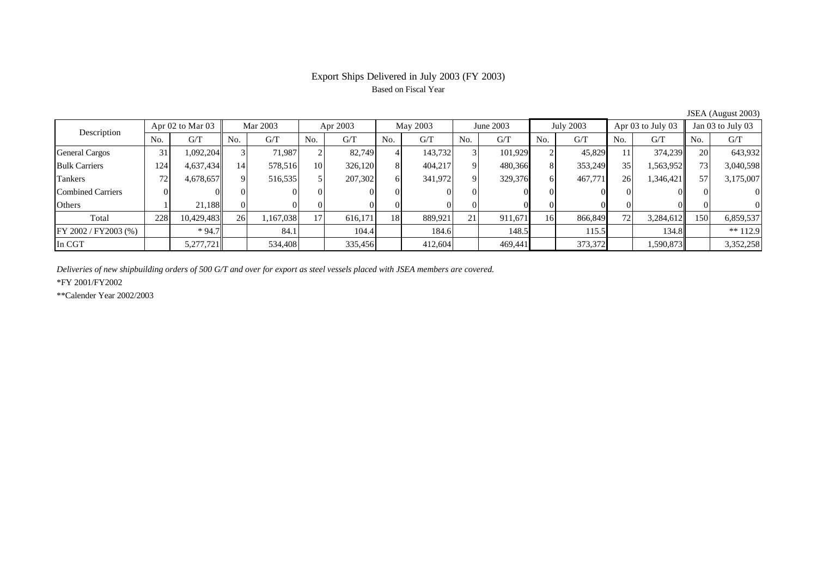# Export Ships Delivered in July 2003 (FY 2003) Based on Fiscal Year

| Description              | Apr $02$ to Mar $03$ |            | Mar 2003 |           | Apr 2003        |         | May 2003 |         | June 2003               |         | July 2003 |         | Apr $03$ to July $03$ |           | Jan 03 to July 03 |            |
|--------------------------|----------------------|------------|----------|-----------|-----------------|---------|----------|---------|-------------------------|---------|-----------|---------|-----------------------|-----------|-------------------|------------|
|                          | No.                  | G/T        | No.      | G/T       | No.             | G/T     | No.      | G/T     | No.                     | G/T     | No.       | G/T     | No.                   | G/T       | No.               | G/T        |
| <b>General Cargos</b>    | 31                   | 1,092,204  |          | 71.987    |                 | 82.749  |          | 143,732 |                         | 101,929 |           | 45,829  | 11                    | 374,239   | <b>20</b>         | 643,932    |
| <b>Bulk Carriers</b>     | 124                  | 4,637,434  | 14       | 578,516   | 10 <sup>1</sup> | 326,120 | 8        | 404,217 |                         | 480,366 |           | 353,249 | 35 <sub>1</sub>       | 1,563,952 | 73                | 3,040,598  |
| Tankers                  | 72                   | 4,678,657  |          | 516,535   |                 | 207,302 | 6        | 341,972 | Q                       | 329,376 |           | 467,771 | 26                    | 1,346,421 | 57                | 3,175,007  |
| <b>Combined Carriers</b> |                      |            |          |           |                 |         |          |         |                         |         |           |         |                       |           |                   | $\Omega$   |
| Others                   |                      | 21.188     |          |           | 01              |         |          |         |                         |         |           |         |                       |           |                   | $\Omega$   |
| Total                    | 228                  | 10,429,483 | 26       | 1,167,038 | 17 <sub>1</sub> | 616,171 | 18       | 889,921 | $\mathbf{\Omega}$<br>ΖI | 911,671 | 16        | 866,849 | 72                    | 3,284,612 | 150               | 6,859,537  |
| FY 2002 / FY2003 (%)     |                      | $*94.7$    |          | 84.1      |                 | 104.4   |          | 184.6   |                         | 148.5   |           | 115.5   |                       | 134.8     |                   | $** 112.9$ |
| In CGT                   |                      | 5,277,721  |          | 534,408   |                 | 335,456 |          | 412,604 |                         | 469.441 |           | 373,372 |                       | 1,590,873 |                   | 3,352,258  |

JSEA (August 2003)

*Deliveries of new shipbuilding orders of 500 G/T and over for export as steel vessels placed with JSEA members are covered.*

\*FY 2001/FY2002

\*\*Calender Year 2002/2003